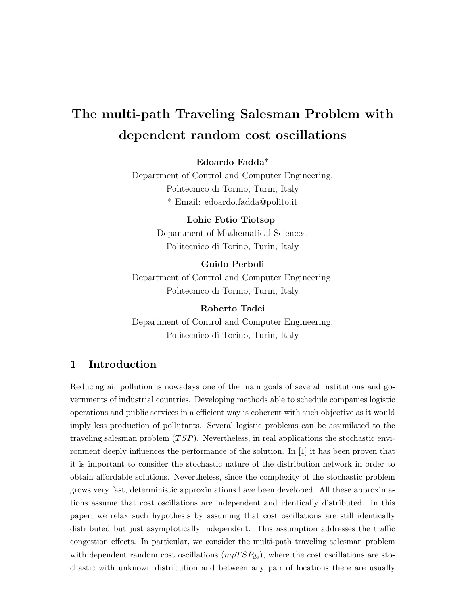# The multi-path Traveling Salesman Problem with dependent random cost oscillations

Edoardo Fadda\*

Department of Control and Computer Engineering, Politecnico di Torino, Turin, Italy \* Email: edoardo.fadda@polito.it

#### Lohic Fotio Tiotsop

Department of Mathematical Sciences, Politecnico di Torino, Turin, Italy

#### Guido Perboli

Department of Control and Computer Engineering, Politecnico di Torino, Turin, Italy

Roberto Tadei Department of Control and Computer Engineering, Politecnico di Torino, Turin, Italy

# 1 Introduction

Reducing air pollution is nowadays one of the main goals of several institutions and governments of industrial countries. Developing methods able to schedule companies logistic operations and public services in a efficient way is coherent with such objective as it would imply less production of pollutants. Several logistic problems can be assimilated to the traveling salesman problem  $(TSP)$ . Nevertheless, in real applications the stochastic environment deeply influences the performance of the solution. In [1] it has been proven that it is important to consider the stochastic nature of the distribution network in order to obtain affordable solutions. Nevertheless, since the complexity of the stochastic problem grows very fast, deterministic approximations have been developed. All these approximations assume that cost oscillations are independent and identically distributed. In this paper, we relax such hypothesis by assuming that cost oscillations are still identically distributed but just asymptotically independent. This assumption addresses the traffic congestion effects. In particular, we consider the multi-path traveling salesman problem with dependent random cost oscillations  $(mpTSP_{do})$ , where the cost oscillations are stochastic with unknown distribution and between any pair of locations there are usually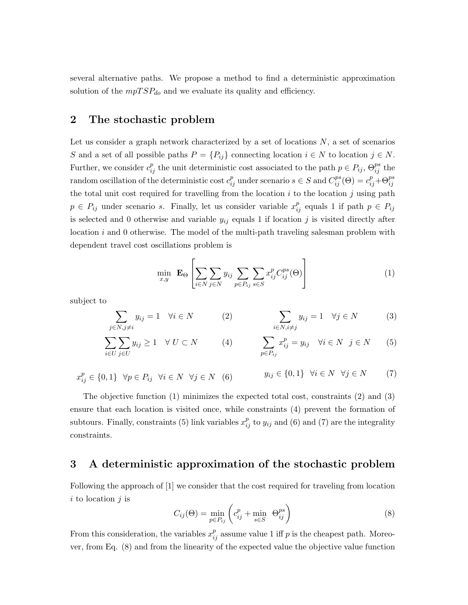several alternative paths. We propose a method to find a deterministic approximation solution of the  $mpTSP_{do}$  and we evaluate its quality and efficiency.

#### 2 The stochastic problem

Let us consider a graph network characterized by a set of locations  $N$ , a set of scenarios S and a set of all possible paths  $P = \{P_{ij}\}\$ connecting location  $i \in N$  to location  $j \in N$ . Further, we consider  $c_{ij}^p$  the unit deterministic cost associated to the path  $p \in P_{ij}$ ,  $\Theta_{ij}^{ps}$  the random oscillation of the deterministic cost  $c_{ij}^p$  under scenario  $s \in S$  and  $C_{ij}^{ps}(\Theta) = c_{ij}^p + \Theta_{ij}^{ps}$ the total unit cost required for travelling from the location  $i$  to the location  $j$  using path  $p \in P_{ij}$  under scenario s. Finally, let us consider variable  $x_{ij}^p$  equals 1 if path  $p \in P_{ij}$ is selected and 0 otherwise and variable  $y_{ij}$  equals 1 if location j is visited directly after location  $i$  and 0 otherwise. The model of the multi-path traveling salesman problem with dependent travel cost oscillations problem is

$$
\min_{x,y} \mathbf{E}_{\Theta} \left[ \sum_{i \in N} \sum_{j \in N} y_{ij} \sum_{p \in P_{ij}} \sum_{s \in S} x_{ij}^p C_{ij}^{ps}(\Theta) \right]
$$
(1)

subject to

$$
\sum_{j \in N, j \neq i} y_{ij} = 1 \quad \forall i \in N \tag{3}
$$
\n
$$
\sum_{i \in N, i \neq j} y_{ij} = 1 \quad \forall j \in N \tag{3}
$$

$$
\sum_{i \in U} \sum_{j \in U} y_{ij} \ge 1 \quad \forall \ U \subset N \qquad (4) \qquad \sum_{p \in P_{ij}} x_{ij}^p = y_{ij} \quad \forall i \in N \quad j \in N \qquad (5)
$$

$$
x_{ij}^p \in \{0, 1\} \quad \forall p \in P_{ij} \quad \forall i \in N \quad \forall j \in N \quad (6) \qquad y_{ij} \in \{0, 1\} \quad \forall i \in N \quad \forall j \in N \qquad (7)
$$

The objective function (1) minimizes the expected total cost, constraints (2) and (3) ensure that each location is visited once, while constraints (4) prevent the formation of subtours. Finally, constraints (5) link variables  $x_{ij}^p$  to  $y_{ij}$  and (6) and (7) are the integrality constraints.

#### 3 A deterministic approximation of the stochastic problem

Following the approach of [1] we consider that the cost required for traveling from location  $i$  to location  $j$  is

$$
C_{ij}(\Theta) = \min_{p \in P_{ij}} \left( c_{ij}^p + \min_{s \in S} \Theta_{ij}^{ps} \right)
$$
 (8)

From this consideration, the variables  $x_{ij}^p$  assume value 1 iff p is the cheapest path. Moreover, from Eq. (8) and from the linearity of the expected value the objective value function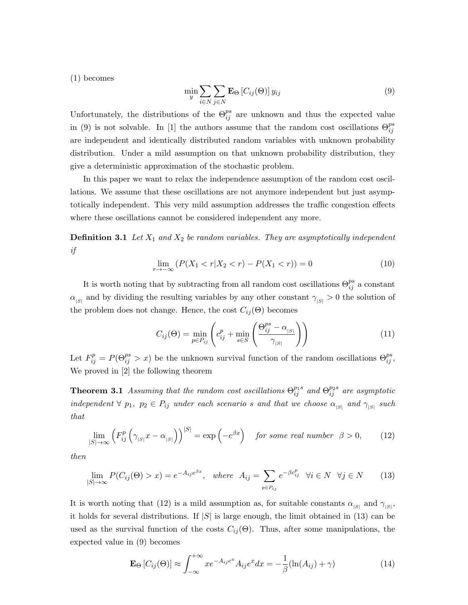(1) becomes

$$
\min_{y} \sum_{i \in N} \sum_{j \in N} \mathbf{E}_{\Theta} \left[ C_{ij}(\Theta) \right] y_{ij} \tag{9}
$$

Unfortunately, the distributions of the  $\Theta_{ij}^{ps}$  are unknown and thus the expected value in (9) is not solvable. In [1] the authors assume that the random cost oscillations  $\Theta_{ij}^{ps}$ are independent and identically distributed random variables with unknown probability distribution. Under a mild assumption on that unknown probability distribution, they give a deterministic approximation of the stochastic problem.

In this paper we want to relax the independence assumption of the random cost oscillations. We assume that these oscillations are not anymore independent but just asymptotically independent. This very mild assumption addresses the traffic congestion effects where these oscillations cannot be considered independent any more.

**Definition 3.1** Let  $X_1$  and  $X_2$  be random variables. They are asymptotically independent if

$$
\lim_{r \to -\infty} (P(X_1 < r | X_2 < r) - P(X_1 < r)) = 0 \tag{10}
$$

It is worth noting that by subtracting from all random cost oscillations  $\Theta_{ij}^{ps}$  a constant  $\alpha_{|S|}$  and by dividing the resulting variables by any other constant  $\gamma_{|S|} > 0$  the solution of the problem does not change. Hence, the cost  $C_{ij}(\Theta)$  becomes

$$
C_{ij}(\Theta) = \min_{p \in P_{ij}} \left( c_{ij}^p + \min_{s \in S} \left( \frac{\Theta_{ij}^{ps} - \alpha_{|S|}}{\gamma_{|S|}} \right) \right)
$$
(11)

Let  $F_{ij}^p = P(\Theta_{ij}^{ps} > x)$  be the unknown survival function of the random oscillations  $\Theta_{ij}^{ps}$ , We proved in [2] the following theorem

**Theorem 3.1** Assuming that the random cost oscillations  $\Theta_{ij}^{p_1s}$  and  $\Theta_{ij}^{p_2s}$  are asymptotic independent  $\forall$   $p_1, p_2 \in P_{ij}$  under each scenario s and that we choose  $\alpha_{|S|}$  and  $\gamma_{|S|}$  such that

$$
\lim_{|S| \to \infty} \left( F_{ij}^p \left( \gamma_{|S|} x - \alpha_{|S|} \right) \right)^{|S|} = \exp \left( -e^{\beta x} \right) \quad \text{for some real number} \quad \beta > 0, \tag{12}
$$

then

$$
\lim_{|S| \to \infty} P(C_{ij}(\Theta) > x) = e^{-A_{ij}e^{\beta x}}, \quad \text{where} \quad A_{ij} = \sum_{p \in P_{ij}} e^{-\beta c_{ij}^p} \quad \forall i \in N \quad \forall j \in N \tag{13}
$$

It is worth noting that (12) is a mild assumption as, for suitable constants  $\alpha_{|S|}$  and  $\gamma_{|S|}$ , it holds for several distributions. If  $|S|$  is large enough, the limit obtained in (13) can be used as the survival function of the costs  $C_{ij}(\Theta)$ . Thus, after some manipulations, the expected value in (9) becomes

$$
\mathbf{E}_{\Theta}\left[C_{ij}(\Theta)\right] \approx \int_{-\infty}^{+\infty} x e^{-A_{ij}e^{x}} A_{ij} e^{x} dx = -\frac{1}{\beta} (\ln(A_{ij}) + \gamma)
$$
(14)